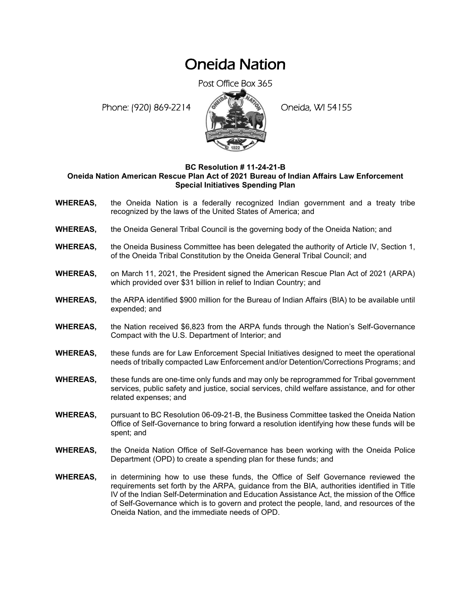## Oneida Nation

Post Office Box 365

Phone: (920) 869-2214 (8 April 194155)



## **BC Resolution # 11-24-21-B Oneida Nation American Rescue Plan Act of 2021 Bureau of Indian Affairs Law Enforcement Special Initiatives Spending Plan**

- **WHEREAS,** the Oneida Nation is a federally recognized Indian government and a treaty tribe recognized by the laws of the United States of America; and
- **WHEREAS,** the Oneida General Tribal Council is the governing body of the Oneida Nation; and
- **WHEREAS,** the Oneida Business Committee has been delegated the authority of Article IV, Section 1, of the Oneida Tribal Constitution by the Oneida General Tribal Council; and
- **WHEREAS,** on March 11, 2021, the President signed the American Rescue Plan Act of 2021 (ARPA) which provided over \$31 billion in relief to Indian Country; and
- **WHEREAS,** the ARPA identified \$900 million for the Bureau of Indian Affairs (BIA) to be available until expended; and
- **WHEREAS,** the Nation received \$6,823 from the ARPA funds through the Nation's Self-Governance Compact with the U.S. Department of Interior; and
- **WHEREAS,** these funds are for Law Enforcement Special Initiatives designed to meet the operational needs of tribally compacted Law Enforcement and/or Detention/Corrections Programs; and
- **WHEREAS,** these funds are one-time only funds and may only be reprogrammed for Tribal government services, public safety and justice, social services, child welfare assistance, and for other related expenses; and
- **WHEREAS,** pursuant to BC Resolution 06-09-21-B, the Business Committee tasked the Oneida Nation Office of Self-Governance to bring forward a resolution identifying how these funds will be spent; and
- **WHEREAS,** the Oneida Nation Office of Self-Governance has been working with the Oneida Police Department (OPD) to create a spending plan for these funds; and
- **WHEREAS,** in determining how to use these funds, the Office of Self Governance reviewed the requirements set forth by the ARPA, guidance from the BIA, authorities identified in Title IV of the Indian Self-Determination and Education Assistance Act, the mission of the Office of Self-Governance which is to govern and protect the people, land, and resources of the Oneida Nation, and the immediate needs of OPD.